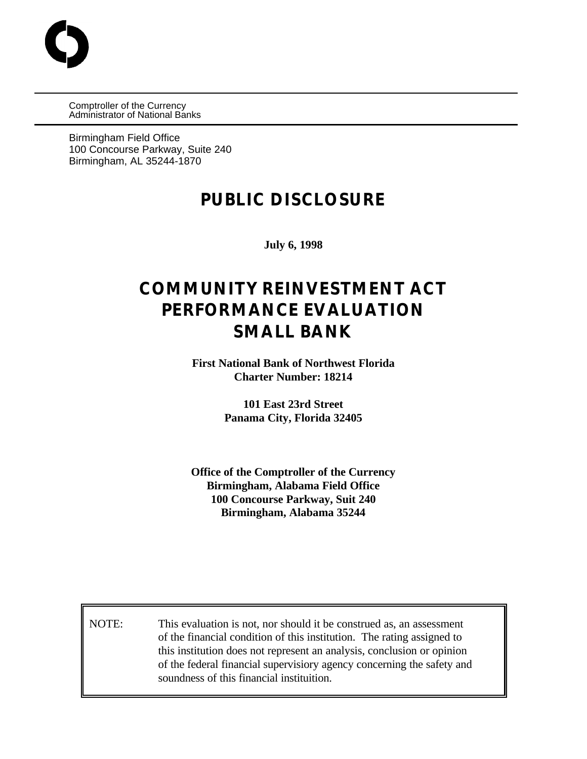Comptroller of the Currency Administrator of National Banks

Birmingham Field Office 100 Concourse Parkway, Suite 240 Birmingham, AL 35244-1870

# **PUBLIC DISCLOSURE**

**July 6, 1998**

# **COMMUNITY REINVESTMENT ACT PERFORMANCE EVALUATION SMALL BANK**

**First National Bank of Northwest Florida Charter Number: 18214**

> **101 East 23rd Street Panama City, Florida 32405**

**Office of the Comptroller of the Currency Birmingham, Alabama Field Office 100 Concourse Parkway, Suit 240 Birmingham, Alabama 35244**

NOTE: This evaluation is not, nor should it be construed as, an assessment of the financial condition of this institution. The rating assigned to this institution does not represent an analysis, conclusion or opinion of the federal financial supervisiory agency concerning the safety and soundness of this financial instituition.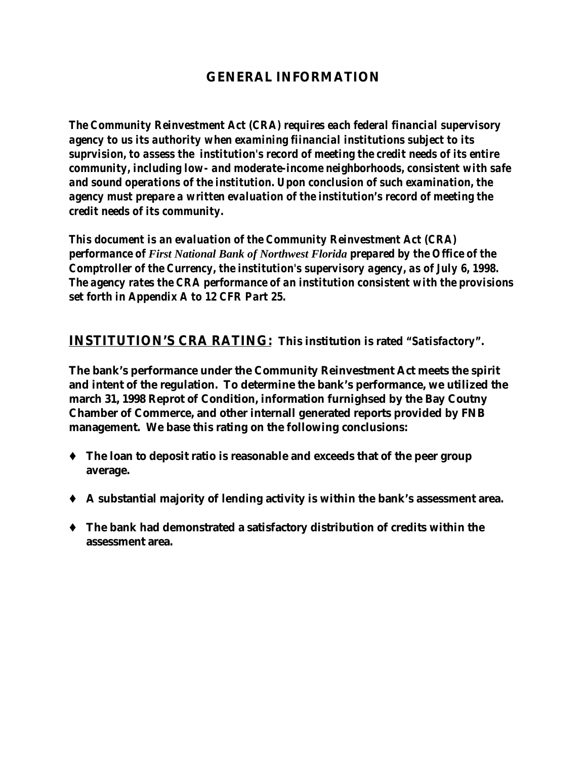### **GENERAL INFORMATION**

*The Community Reinvestment Act (CRA) requires each federal financial supervisory agency to us its authority when examining fiinancial institutions subject to its suprvision, to assess the institution's record of meeting the credit needs of its entire community, including low- and moderate-income neighborhoods, consistent with safe and sound operations of the institution. Upon conclusion of such examination, the agency must prepare a written evaluation of the institution's record of meeting the credit needs of its community.*

*This document is an evaluation of the Community Reinvestment Act (CRA) performance of First National Bank of Northwest Florida prepared by the Office of the Comptroller of the Currency, the institution's supervisory agency, as of July 6, 1998. The agency rates the CRA performance of an institution consistent with the provisions set forth in Appendix A to 12 CFR Part 25.*

**INSTITUTION'S CRA RATING: This institution is rated** *"Satisfactory"***.**

**The bank's performance under the Community Reinvestment Act meets the spirit and intent of the regulation. To determine the bank's performance, we utilized the march 31, 1998 Reprot of Condition, information furnighsed by the Bay Coutny Chamber of Commerce, and other internall generated reports provided by FNB management. We base this rating on the following conclusions:**

- Ç **The loan to deposit ratio is reasonable and exceeds that of the peer group average.**
- Ç **A substantial majority of lending activity is within the bank's assessment area.**
- Ç **The bank had demonstrated a satisfactory distribution of credits within the assessment area.**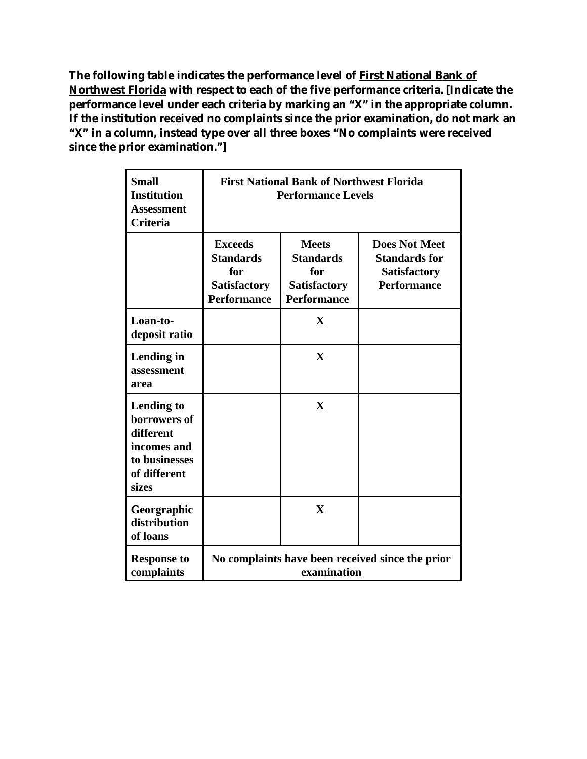**The following table indicates the performance level of First National Bank of Northwest Florida with respect to each of the five performance criteria. [Indicate the performance level under each criteria by marking an "X" in the appropriate column. If the institution received no complaints since the prior examination, do not mark an "X" in a column, instead type over all three boxes "No complaints were received since the prior examination."]**

| <b>Small</b><br><b>Institution</b><br><b>Assessment</b><br><b>Criteria</b>                              | <b>First National Bank of Northwest Florida</b><br><b>Performance Levels</b>           |                                                                                      |                                                                                           |  |  |  |  |
|---------------------------------------------------------------------------------------------------------|----------------------------------------------------------------------------------------|--------------------------------------------------------------------------------------|-------------------------------------------------------------------------------------------|--|--|--|--|
|                                                                                                         | <b>Exceeds</b><br><b>Standards</b><br>for<br><b>Satisfactory</b><br><b>Performance</b> | <b>Meets</b><br><b>Standards</b><br>for<br><b>Satisfactory</b><br><b>Performance</b> | <b>Does Not Meet</b><br><b>Standards for</b><br><b>Satisfactory</b><br><b>Performance</b> |  |  |  |  |
| Loan-to-<br>deposit ratio                                                                               |                                                                                        | X                                                                                    |                                                                                           |  |  |  |  |
| Lending in<br>assessment<br>area                                                                        |                                                                                        | $\mathbf{X}$                                                                         |                                                                                           |  |  |  |  |
| <b>Lending to</b><br>borrowers of<br>different<br>incomes and<br>to businesses<br>of different<br>sizes |                                                                                        | X                                                                                    |                                                                                           |  |  |  |  |
| Georgraphic<br>distribution<br>of loans                                                                 |                                                                                        | $\mathbf{X}$                                                                         |                                                                                           |  |  |  |  |
| <b>Response to</b><br>complaints                                                                        | No complaints have been received since the prior<br>examination                        |                                                                                      |                                                                                           |  |  |  |  |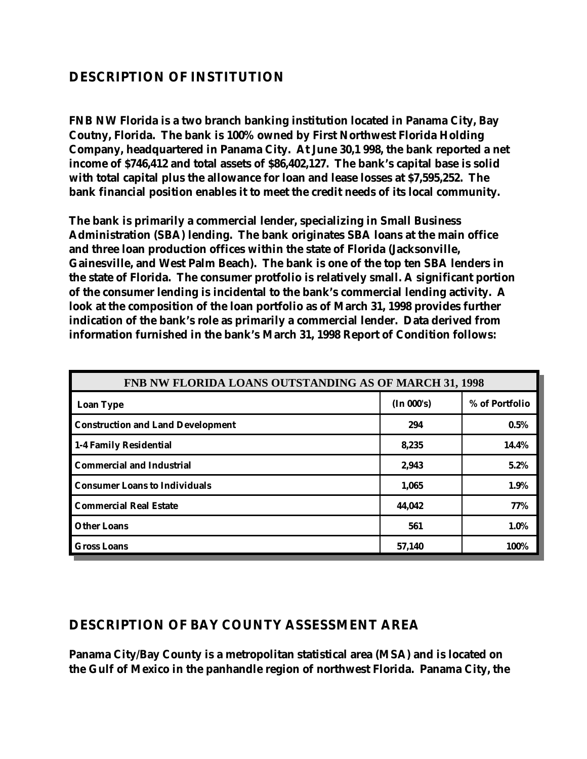# **DESCRIPTION OF INSTITUTION**

**FNB NW Florida is a two branch banking institution located in Panama City, Bay Coutny, Florida. The bank is 100% owned by First Northwest Florida Holding Company, headquartered in Panama City. At June 30,1 998, the bank reported a net income of \$746,412 and total assets of \$86,402,127. The bank's capital base is solid with total capital plus the allowance for loan and lease losses at \$7,595,252. The bank financial position enables it to meet the credit needs of its local community.**

**The bank is primarily a commercial lender, specializing in Small Business Administration (SBA) lending. The bank originates SBA loans at the main office and three loan production offices within the state of Florida (Jacksonville, Gainesville, and West Palm Beach). The bank is one of the top ten SBA lenders in the state of Florida. The consumer protfolio is relatively small. A significant portion of the consumer lending is incidental to the bank's commercial lending activity. A look at the composition of the loan portfolio as of March 31, 1998 provides further indication of the bank's role as primarily a commercial lender. Data derived from information furnished in the bank's March 31, 1998 Report of Condition follows:**

| <b>FNB NW FLORIDA LOANS OUTSTANDING AS OF MARCH 31, 1998</b> |            |                |  |  |  |  |  |
|--------------------------------------------------------------|------------|----------------|--|--|--|--|--|
| <b>Loan Type</b>                                             | (In 000's) | % of Portfolio |  |  |  |  |  |
| <b>Construction and Land Development</b>                     | 294        | 0.5%           |  |  |  |  |  |
| 1-4 Family Residential                                       | 8,235      | 14.4%          |  |  |  |  |  |
| <b>Commercial and Industrial</b>                             | 2,943      | 5.2%           |  |  |  |  |  |
| <b>Consumer Loans to Individuals</b>                         | 1,065      | 1.9%           |  |  |  |  |  |
| <b>Commercial Real Estate</b>                                | 44,042     | 77%            |  |  |  |  |  |
| <b>Other Loans</b>                                           | 561        | 1.0%           |  |  |  |  |  |
| <b>Gross Loans</b>                                           | 57,140     | 100%           |  |  |  |  |  |

#### **DESCRIPTION OF BAY COUNTY ASSESSMENT AREA**

**Panama City/Bay County is a metropolitan statistical area (MSA) and is located on the Gulf of Mexico in the panhandle region of northwest Florida. Panama City, the**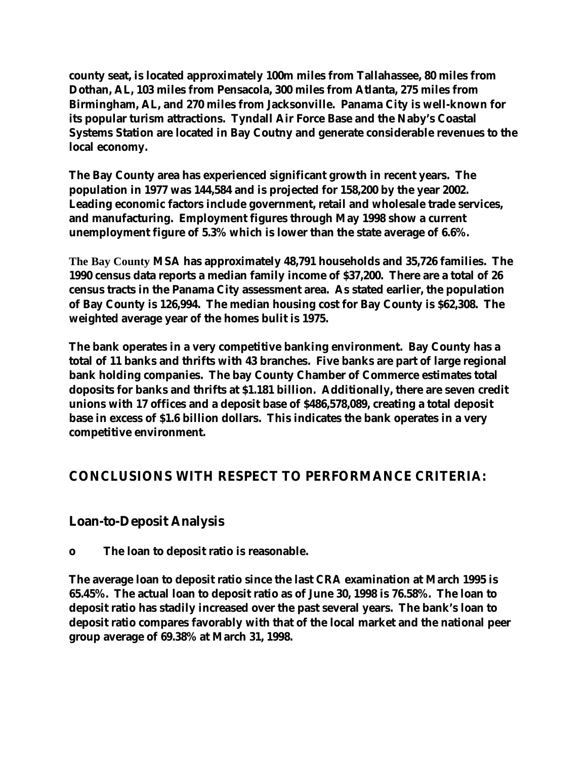**county seat, is located approximately 100m miles from Tallahassee, 80 miles from Dothan, AL, 103 miles from Pensacola, 300 miles from Atlanta, 275 miles from Birmingham, AL, and 270 miles from Jacksonville. Panama City is well-known for its popular turism attractions. Tyndall Air Force Base and the Naby's Coastal Systems Station are located in Bay Coutny and generate considerable revenues to the local economy.**

**The Bay County area has experienced significant growth in recent years. The population in 1977 was 144,584 and is projected for 158,200 by the year 2002. Leading economic factors include government, retail and wholesale trade services, and manufacturing. Employment figures through May 1998 show a current unemployment figure of 5.3% which is lower than the state average of 6.6%.**

**The Bay County MSA has approximately 48,791 households and 35,726 families. The 1990 census data reports a median family income of \$37,200. There are a total of 26 census tracts in the Panama City assessment area. As stated earlier, the population of Bay County is 126,994. The median housing cost for Bay County is \$62,308. The weighted average year of the homes bulit is 1975.**

**The bank operates in a very competitive banking environment. Bay County has a total of 11 banks and thrifts with 43 branches. Five banks are part of large regional bank holding companies. The bay County Chamber of Commerce estimates total doposits for banks and thrifts at \$1.181 billion. Additionally, there are seven credit unions with 17 offices and a deposit base of \$486,578,089, creating a total deposit base in excess of \$1.6 billion dollars. This indicates the bank operates in a very competitive environment.**

# **CONCLUSIONS WITH RESPECT TO PERFORMANCE CRITERIA:**

#### **Loan-to-Deposit Analysis**

**o The loan to deposit ratio is reasonable.**

**The average loan to deposit ratio since the last CRA examination at March 1995 is 65.45%. The actual loan to deposit ratio as of June 30, 1998 is 76.58%. The loan to deposit ratio has stadily increased over the past several years. The bank's loan to deposit ratio compares favorably with that of the local market and the national peer group average of 69.38% at March 31, 1998.**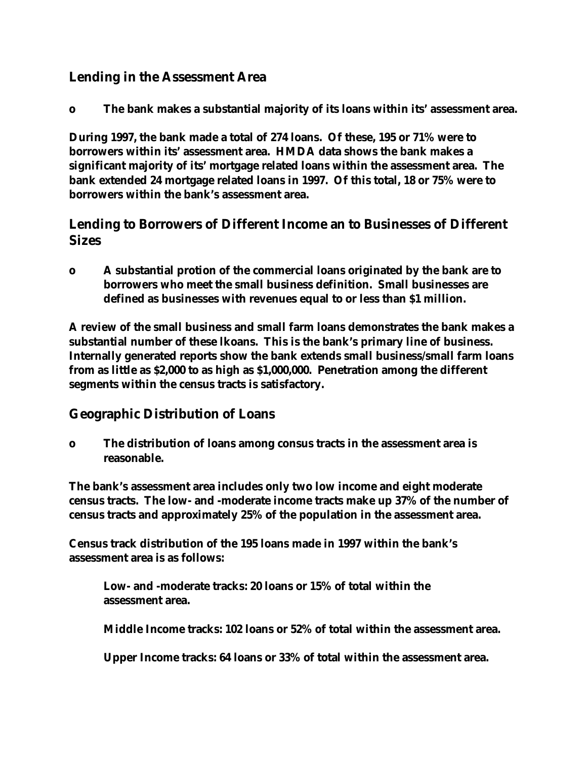### **Lending in the Assessment Area**

**o The bank makes a substantial majority of its loans within its' assessment area.**

**During 1997, the bank made a total of 274 loans. Of these, 195 or 71% were to borrowers within its' assessment area. HMDA data shows the bank makes a significant majority of its' mortgage related loans within the assessment area. The bank extended 24 mortgage related loans in 1997. Of this total, 18 or 75% were to borrowers within the bank's assessment area.**

#### **Lending to Borrowers of Different Income an to Businesses of Different Sizes**

**o A substantial protion of the commercial loans originated by the bank are to borrowers who meet the small business definition. Small businesses are defined as businesses with revenues equal to or less than \$1 million.**

**A review of the small business and small farm loans demonstrates the bank makes a substantial number of these lkoans. This is the bank's primary line of business. Internally generated reports show the bank extends small business/small farm loans from as little as \$2,000 to as high as \$1,000,000. Penetration among the different segments within the census tracts is satisfactory.**

#### **Geographic Distribution of Loans**

**o The distribution of loans among consus tracts in the assessment area is reasonable.**

**The bank's assessment area includes only two low income and eight moderate census tracts. The low- and -moderate income tracts make up 37% of the number of census tracts and approximately 25% of the population in the assessment area.**

**Census track distribution of the 195 loans made in 1997 within the bank's assessment area is as follows:**

**Low- and -moderate tracks: 20 loans or 15% of total within the assessment area.**

**Middle Income tracks: 102 loans or 52% of total within the assessment area.**

**Upper Income tracks: 64 loans or 33% of total within the assessment area.**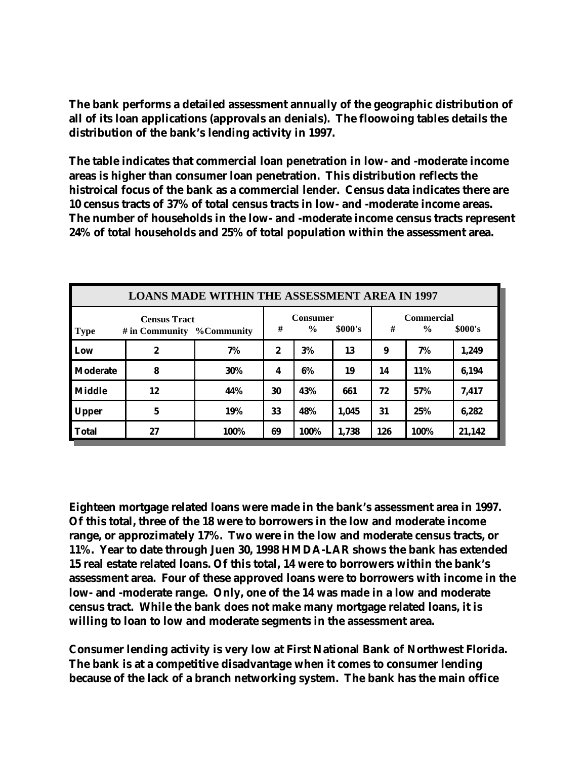**The bank performs a detailed assessment annually of the geographic distribution of all of its loan applications (approvals an denials). The floowoing tables details the distribution of the bank's lending activity in 1997.**

**The table indicates that commercial loan penetration in low- and -moderate income areas is higher than consumer loan penetration. This distribution reflects the histroical focus of the bank as a commercial lender. Census data indicates there are 10 census tracts of 37% of total census tracts in low- and -moderate income areas. The number of households in the low- and -moderate income census tracts represent 24% of total households and 25% of total population within the assessment area.**

| <b>LOANS MADE WITHIN THE ASSESSMENT AREA IN 1997</b>                |                  |      |                                         |      |       |                                                    |            |        |  |  |
|---------------------------------------------------------------------|------------------|------|-----------------------------------------|------|-------|----------------------------------------------------|------------|--------|--|--|
| <b>Census Tract</b><br><b>Type</b><br># in Community $\%$ Community |                  |      | <b>Consumer</b><br>#<br>\$000's<br>$\%$ |      |       | <b>Commercial</b><br>#<br>$\frac{0}{0}$<br>\$000's |            |        |  |  |
| Low                                                                 | $\boldsymbol{2}$ | 7%   | 2                                       | 3%   | 13    | 9                                                  | 7%         | 1,249  |  |  |
| Moderate                                                            | 8                | 30%  | 4                                       | 6%   | 19    | 14                                                 | <b>11%</b> | 6,194  |  |  |
| <b>Middle</b>                                                       | 12               | 44%  | 30                                      | 43%  | 661   | 72                                                 | 57%        | 7,417  |  |  |
| <b>Upper</b>                                                        | 5                | 19%  | 33                                      | 48%  | 1,045 | 31                                                 | 25%        | 6,282  |  |  |
| <b>Total</b>                                                        | 27               | 100% | 69                                      | 100% | 1,738 | 126                                                | 100%       | 21,142 |  |  |

**Eighteen mortgage related loans were made in the bank's assessment area in 1997. Of this total, three of the 18 were to borrowers in the low and moderate income range, or approzimately 17%. Two were in the low and moderate census tracts, or 11%. Year to date through Juen 30, 1998 HMDA-LAR shows the bank has extended 15 real estate related loans. Of this total, 14 were to borrowers within the bank's assessment area. Four of these approved loans were to borrowers with income in the low- and -moderate range. Only, one of the 14 was made in a low and moderate census tract. While the bank does not make many mortgage related loans, it is willing to loan to low and moderate segments in the assessment area.**

**Consumer lending activity is very low at First National Bank of Northwest Florida. The bank is at a competitive disadvantage when it comes to consumer lending because of the lack of a branch networking system. The bank has the main office**